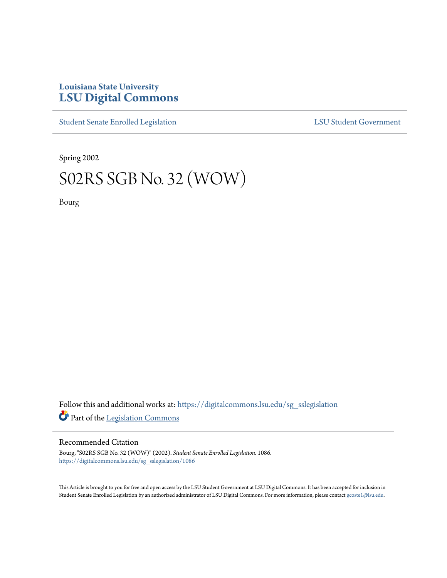## **Louisiana State University [LSU Digital Commons](https://digitalcommons.lsu.edu?utm_source=digitalcommons.lsu.edu%2Fsg_sslegislation%2F1086&utm_medium=PDF&utm_campaign=PDFCoverPages)**

[Student Senate Enrolled Legislation](https://digitalcommons.lsu.edu/sg_sslegislation?utm_source=digitalcommons.lsu.edu%2Fsg_sslegislation%2F1086&utm_medium=PDF&utm_campaign=PDFCoverPages) [LSU Student Government](https://digitalcommons.lsu.edu/sg?utm_source=digitalcommons.lsu.edu%2Fsg_sslegislation%2F1086&utm_medium=PDF&utm_campaign=PDFCoverPages)

Spring 2002

## S02RS SGB No. 32 (WOW)

Bourg

Follow this and additional works at: [https://digitalcommons.lsu.edu/sg\\_sslegislation](https://digitalcommons.lsu.edu/sg_sslegislation?utm_source=digitalcommons.lsu.edu%2Fsg_sslegislation%2F1086&utm_medium=PDF&utm_campaign=PDFCoverPages) Part of the [Legislation Commons](http://network.bepress.com/hgg/discipline/859?utm_source=digitalcommons.lsu.edu%2Fsg_sslegislation%2F1086&utm_medium=PDF&utm_campaign=PDFCoverPages)

## Recommended Citation

Bourg, "S02RS SGB No. 32 (WOW)" (2002). *Student Senate Enrolled Legislation*. 1086. [https://digitalcommons.lsu.edu/sg\\_sslegislation/1086](https://digitalcommons.lsu.edu/sg_sslegislation/1086?utm_source=digitalcommons.lsu.edu%2Fsg_sslegislation%2F1086&utm_medium=PDF&utm_campaign=PDFCoverPages)

This Article is brought to you for free and open access by the LSU Student Government at LSU Digital Commons. It has been accepted for inclusion in Student Senate Enrolled Legislation by an authorized administrator of LSU Digital Commons. For more information, please contact [gcoste1@lsu.edu.](mailto:gcoste1@lsu.edu)